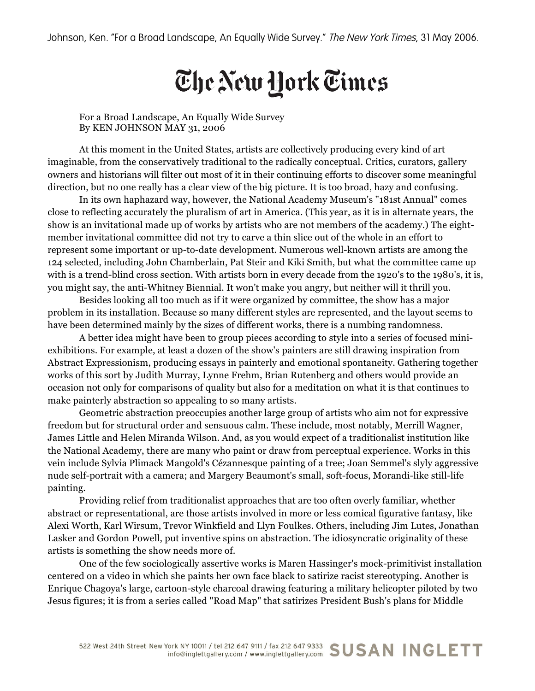## The New Hork Times

For a Broad Landscape, An Equally Wide Survey By KEN JOHNSON MAY 31, 2006

At this moment in the United States, artists are collectively producing every kind of art imaginable, from the conservatively traditional to the radically conceptual. Critics, curators, gallery owners and historians will filter out most of it in their continuing efforts to discover some meaningful direction, but no one really has a clear view of the big picture. It is too broad, hazy and confusing.

In its own haphazard way, however, the National Academy Museum's "181st Annual" comes close to reflecting accurately the pluralism of art in America. (This year, as it is in alternate years, the show is an invitational made up of works by artists who are not members of the academy.) The eightmember invitational committee did not try to carve a thin slice out of the whole in an effort to represent some important or up-to-date development. Numerous well-known artists are among the 124 selected, including John Chamberlain, Pat Steir and Kiki Smith, but what the committee came up with is a trend-blind cross section. With artists born in every decade from the 1920's to the 1980's, it is, you might say, the anti-Whitney Biennial. It won't make you angry, but neither will it thrill you.

Besides looking all too much as if it were organized by committee, the show has a major problem in its installation. Because so many different styles are represented, and the layout seems to have been determined mainly by the sizes of different works, there is a numbing randomness.

A better idea might have been to group pieces according to style into a series of focused miniexhibitions. For example, at least a dozen of the show's painters are still drawing inspiration from Abstract Expressionism, producing essays in painterly and emotional spontaneity. Gathering together works of this sort by Judith Murray, Lynne Frehm, Brian Rutenberg and others would provide an occasion not only for comparisons of quality but also for a meditation on what it is that continues to make painterly abstraction so appealing to so many artists.

Geometric abstraction preoccupies another large group of artists who aim not for expressive freedom but for structural order and sensuous calm. These include, most notably, Merrill Wagner, James Little and Helen Miranda Wilson. And, as you would expect of a traditionalist institution like the National Academy, there are many who paint or draw from perceptual experience. Works in this vein include Sylvia Plimack Mangold's Cézannesque painting of a tree; Joan Semmel's slyly aggressive nude self-portrait with a camera; and Margery Beaumont's small, soft-focus, Morandi-like still-life painting.

Providing relief from traditionalist approaches that are too often overly familiar, whether abstract or representational, are those artists involved in more or less comical figurative fantasy, like Alexi Worth, Karl Wirsum, Trevor Winkfield and Llyn Foulkes. Others, including Jim Lutes, Jonathan Lasker and Gordon Powell, put inventive spins on abstraction. The idiosyncratic originality of these artists is something the show needs more of.

One of the few sociologically assertive works is Maren Hassinger's mock-primitivist installation centered on a video in which she paints her own face black to satirize racist stereotyping. Another is Enrique Chagoya's large, cartoon-style charcoal drawing featuring a military helicopter piloted by two Jesus figures; it is from a series called "Road Map" that satirizes President Bush's plans for Middle